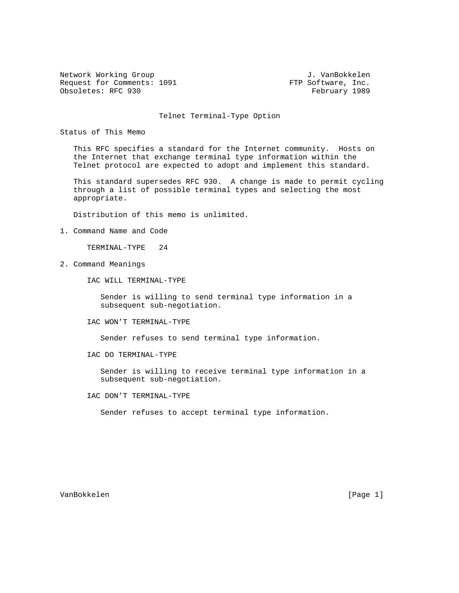Network Working Group J. VanBokkelen Request for Comments: 1091 FTP Software, Inc. Obsoletes: RFC 930 **February 1989** 

Telnet Terminal-Type Option

Status of This Memo

 This RFC specifies a standard for the Internet community. Hosts on the Internet that exchange terminal type information within the Telnet protocol are expected to adopt and implement this standard.

 This standard supersedes RFC 930. A change is made to permit cycling through a list of possible terminal types and selecting the most appropriate.

Distribution of this memo is unlimited.

1. Command Name and Code

TERMINAL-TYPE 24

2. Command Meanings

IAC WILL TERMINAL-TYPE

 Sender is willing to send terminal type information in a subsequent sub-negotiation.

IAC WON'T TERMINAL-TYPE

Sender refuses to send terminal type information.

IAC DO TERMINAL-TYPE

 Sender is willing to receive terminal type information in a subsequent sub-negotiation.

IAC DON'T TERMINAL-TYPE

Sender refuses to accept terminal type information.

VanBokkelen [Page 1]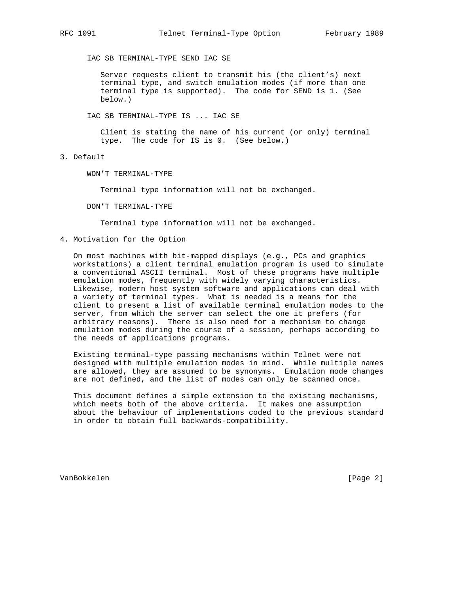IAC SB TERMINAL-TYPE SEND IAC SE

 Server requests client to transmit his (the client's) next terminal type, and switch emulation modes (if more than one terminal type is supported). The code for SEND is 1. (See below.)

IAC SB TERMINAL-TYPE IS ... IAC SE

 Client is stating the name of his current (or only) terminal type. The code for IS is 0. (See below.)

3. Default

WON'T TERMINAL-TYPE

Terminal type information will not be exchanged.

DON'T TERMINAL-TYPE

Terminal type information will not be exchanged.

4. Motivation for the Option

 On most machines with bit-mapped displays (e.g., PCs and graphics workstations) a client terminal emulation program is used to simulate a conventional ASCII terminal. Most of these programs have multiple emulation modes, frequently with widely varying characteristics. Likewise, modern host system software and applications can deal with a variety of terminal types. What is needed is a means for the client to present a list of available terminal emulation modes to the server, from which the server can select the one it prefers (for arbitrary reasons). There is also need for a mechanism to change emulation modes during the course of a session, perhaps according to the needs of applications programs.

 Existing terminal-type passing mechanisms within Telnet were not designed with multiple emulation modes in mind. While multiple names are allowed, they are assumed to be synonyms. Emulation mode changes are not defined, and the list of modes can only be scanned once.

 This document defines a simple extension to the existing mechanisms, which meets both of the above criteria. It makes one assumption about the behaviour of implementations coded to the previous standard in order to obtain full backwards-compatibility.

VanBokkelen [Page 2]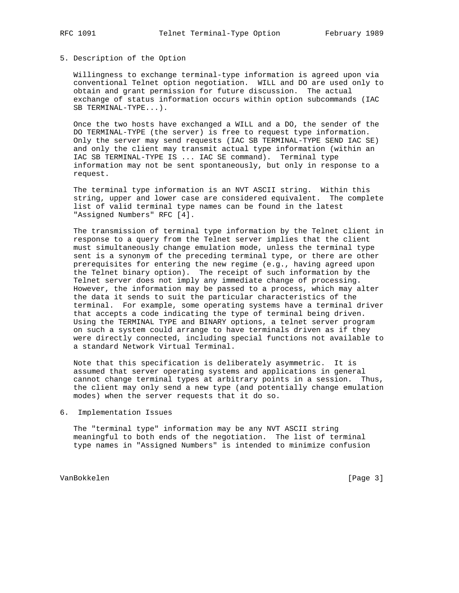## 5. Description of the Option

 Willingness to exchange terminal-type information is agreed upon via conventional Telnet option negotiation. WILL and DO are used only to obtain and grant permission for future discussion. The actual exchange of status information occurs within option subcommands (IAC SB TERMINAL-TYPE...).

 Once the two hosts have exchanged a WILL and a DO, the sender of the DO TERMINAL-TYPE (the server) is free to request type information. Only the server may send requests (IAC SB TERMINAL-TYPE SEND IAC SE) and only the client may transmit actual type information (within an IAC SB TERMINAL-TYPE IS ... IAC SE command). Terminal type information may not be sent spontaneously, but only in response to a request.

 The terminal type information is an NVT ASCII string. Within this string, upper and lower case are considered equivalent. The complete list of valid terminal type names can be found in the latest "Assigned Numbers" RFC [4].

 The transmission of terminal type information by the Telnet client in response to a query from the Telnet server implies that the client must simultaneously change emulation mode, unless the terminal type sent is a synonym of the preceding terminal type, or there are other prerequisites for entering the new regime (e.g., having agreed upon the Telnet binary option). The receipt of such information by the Telnet server does not imply any immediate change of processing. However, the information may be passed to a process, which may alter the data it sends to suit the particular characteristics of the terminal. For example, some operating systems have a terminal driver that accepts a code indicating the type of terminal being driven. Using the TERMINAL TYPE and BINARY options, a telnet server program on such a system could arrange to have terminals driven as if they were directly connected, including special functions not available to a standard Network Virtual Terminal.

 Note that this specification is deliberately asymmetric. It is assumed that server operating systems and applications in general cannot change terminal types at arbitrary points in a session. Thus, the client may only send a new type (and potentially change emulation modes) when the server requests that it do so.

6. Implementation Issues

 The "terminal type" information may be any NVT ASCII string meaningful to both ends of the negotiation. The list of terminal type names in "Assigned Numbers" is intended to minimize confusion

VanBokkelen [Page 3]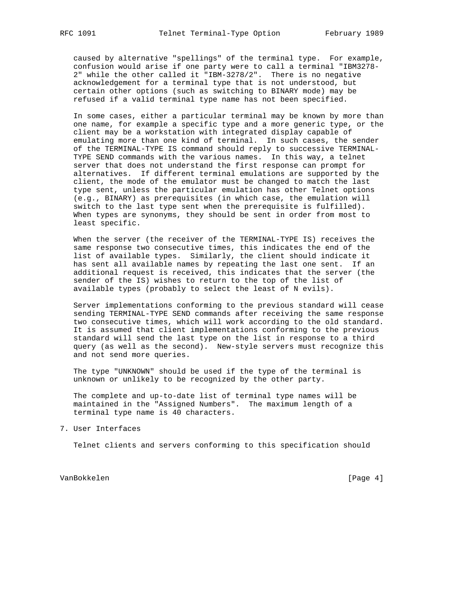caused by alternative "spellings" of the terminal type. For example, confusion would arise if one party were to call a terminal "IBM3278- 2" while the other called it "IBM-3278/2". There is no negative acknowledgement for a terminal type that is not understood, but certain other options (such as switching to BINARY mode) may be refused if a valid terminal type name has not been specified.

 In some cases, either a particular terminal may be known by more than one name, for example a specific type and a more generic type, or the client may be a workstation with integrated display capable of emulating more than one kind of terminal. In such cases, the sender of the TERMINAL-TYPE IS command should reply to successive TERMINAL- TYPE SEND commands with the various names. In this way, a telnet server that does not understand the first response can prompt for alternatives. If different terminal emulations are supported by the client, the mode of the emulator must be changed to match the last type sent, unless the particular emulation has other Telnet options (e.g., BINARY) as prerequisites (in which case, the emulation will switch to the last type sent when the prerequisite is fulfilled). When types are synonyms, they should be sent in order from most to least specific.

 When the server (the receiver of the TERMINAL-TYPE IS) receives the same response two consecutive times, this indicates the end of the list of available types. Similarly, the client should indicate it has sent all available names by repeating the last one sent. If an additional request is received, this indicates that the server (the sender of the IS) wishes to return to the top of the list of available types (probably to select the least of N evils).

 Server implementations conforming to the previous standard will cease sending TERMINAL-TYPE SEND commands after receiving the same response two consecutive times, which will work according to the old standard. It is assumed that client implementations conforming to the previous standard will send the last type on the list in response to a third query (as well as the second). New-style servers must recognize this and not send more queries.

 The type "UNKNOWN" should be used if the type of the terminal is unknown or unlikely to be recognized by the other party.

 The complete and up-to-date list of terminal type names will be maintained in the "Assigned Numbers". The maximum length of a terminal type name is 40 characters.

7. User Interfaces

Telnet clients and servers conforming to this specification should

VanBokkelen [Page 4]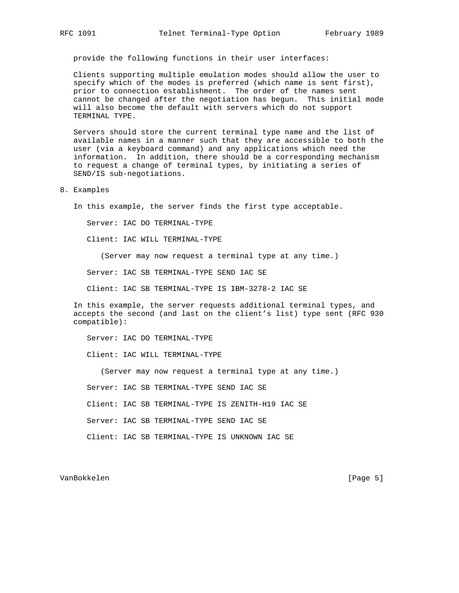provide the following functions in their user interfaces:

 Clients supporting multiple emulation modes should allow the user to specify which of the modes is preferred (which name is sent first), prior to connection establishment. The order of the names sent cannot be changed after the negotiation has begun. This initial mode will also become the default with servers which do not support TERMINAL TYPE.

 Servers should store the current terminal type name and the list of available names in a manner such that they are accessible to both the user (via a keyboard command) and any applications which need the information. In addition, there should be a corresponding mechanism to request a change of terminal types, by initiating a series of SEND/IS sub-negotiations.

8. Examples

In this example, the server finds the first type acceptable.

Server: IAC DO TERMINAL-TYPE

Client: IAC WILL TERMINAL-TYPE

(Server may now request a terminal type at any time.)

Server: IAC SB TERMINAL-TYPE SEND IAC SE

Client: IAC SB TERMINAL-TYPE IS IBM-3278-2 IAC SE

 In this example, the server requests additional terminal types, and accepts the second (and last on the client's list) type sent (RFC 930 compatible):

Server: IAC DO TERMINAL-TYPE

Client: IAC WILL TERMINAL-TYPE

(Server may now request a terminal type at any time.)

Server: IAC SB TERMINAL-TYPE SEND IAC SE

Client: IAC SB TERMINAL-TYPE IS ZENITH-H19 IAC SE

Server: IAC SB TERMINAL-TYPE SEND IAC SE

Client: IAC SB TERMINAL-TYPE IS UNKNOWN IAC SE

VanBokkelen [Page 5]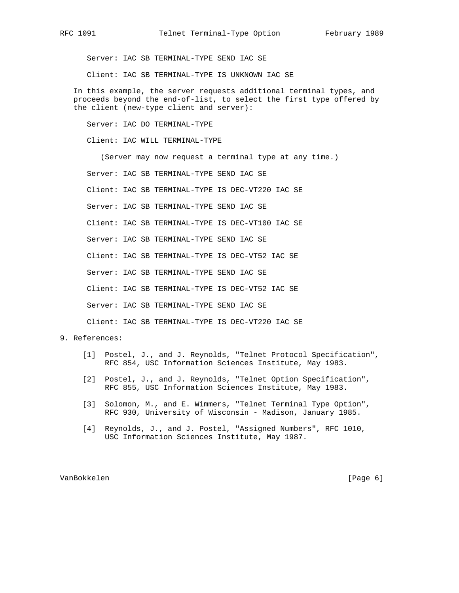Server: IAC SB TERMINAL-TYPE SEND IAC SE

Client: IAC SB TERMINAL-TYPE IS UNKNOWN IAC SE

 In this example, the server requests additional terminal types, and proceeds beyond the end-of-list, to select the first type offered by the client (new-type client and server):

Server: IAC DO TERMINAL-TYPE

Client: IAC WILL TERMINAL-TYPE

(Server may now request a terminal type at any time.)

Server: IAC SB TERMINAL-TYPE SEND IAC SE

Client: IAC SB TERMINAL-TYPE IS DEC-VT220 IAC SE

Server: IAC SB TERMINAL-TYPE SEND IAC SE

Client: IAC SB TERMINAL-TYPE IS DEC-VT100 IAC SE

Server: IAC SB TERMINAL-TYPE SEND IAC SE

Client: IAC SB TERMINAL-TYPE IS DEC-VT52 IAC SE

Server: IAC SB TERMINAL-TYPE SEND IAC SE

Client: IAC SB TERMINAL-TYPE IS DEC-VT52 IAC SE

Server: IAC SB TERMINAL-TYPE SEND IAC SE

Client: IAC SB TERMINAL-TYPE IS DEC-VT220 IAC SE

## 9. References:

- [1] Postel, J., and J. Reynolds, "Telnet Protocol Specification", RFC 854, USC Information Sciences Institute, May 1983.
- [2] Postel, J., and J. Reynolds, "Telnet Option Specification", RFC 855, USC Information Sciences Institute, May 1983.
- [3] Solomon, M., and E. Wimmers, "Telnet Terminal Type Option", RFC 930, University of Wisconsin - Madison, January 1985.
- [4] Reynolds, J., and J. Postel, "Assigned Numbers", RFC 1010, USC Information Sciences Institute, May 1987.

VanBokkelen [Page 6]